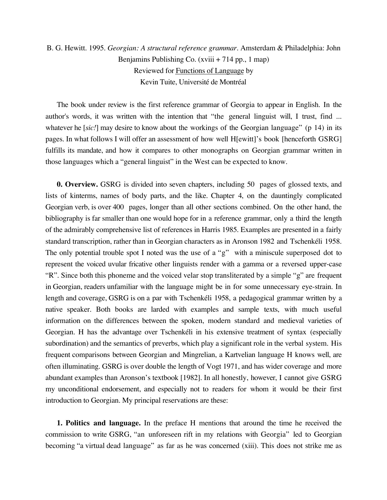## B. G. Hewitt. 1995. *Georgian: A structural reference grammar.* Amsterdam & Philadelphia: John Benjamins Publishing Co. (xviii + 714 pp., 1 map) Reviewed for Functions of Language by Kevin Tuite, Université de Montréal

The book under review is the first reference grammar of Georgia to appear in English. In the author's words, it was written with the intention that "the general linguist will, I trust, find ... whatever he [sic!] may desire to know about the workings of the Georgian language" (p 14) in its pages. In what follows I will offer an assessment of how well H[ewitt]'s book [henceforth GSRG] fulfills its mandate, and how it compares to other monographs on Georgian grammar written in those languages which a "general linguist" in the West can be expected to know.

**0. Overview.** GSRG is divided into seven chapters, including 50 pages of glossed texts, and lists of kinterms, names of body parts, and the like. Chapter 4, on the dauntingly complicated Georgian verb, is over 400 pages, longer than all other sections combined. On the other hand, the bibliography is far smaller than one would hope for in a reference grammar, only a third the length of the admirably comprehensive list of references in Harris 1985. Examples are presented in a fairly standard transcription, rather than in Georgian characters as in Aronson 1982 and Tschenkéli 1958. The only potential trouble spot I noted was the use of a "g" with a miniscule superposed dot to represent the voiced uvular fricative other linguists render with a gamma or a reversed upper-case "R". Since both this phoneme and the voiced velar stop transliterated by a simple "g" are frequent in Georgian, readers unfamiliar with the language might be in for some unnecessary eye-strain. In length and coverage, GSRG is on a par with Tschenkéli 1958, a pedagogical grammar written by a native speaker. Both books are larded with examples and sample texts, with much useful information on the differences between the spoken, modern standard and medieval varieties of Georgian. H has the advantage over Tschenkéli in his extensive treatment of syntax (especially subordination) and the semantics of preverbs, which play a significant role in the verbal system. His frequent comparisons between Georgian and Mingrelian, a Kartvelian language H knows well, are often illuminating. GSRG is over double the length of Vogt 1971, and has wider coverage and more abundant examples than Aronson's textbook [1982]. In all honestly, however, I cannot give GSRG my unconditional endorsement, and especially not to readers for whom it would be their first introduction to Georgian. My principal reservations are these:

**1. Politics and language.** In the preface H mentions that around the time he received the commission to write GSRG, "an unforeseen rift in my relations with Georgia" led to Georgian becoming "a virtual dead language" as far as he was concerned (xiii). This does not strike me as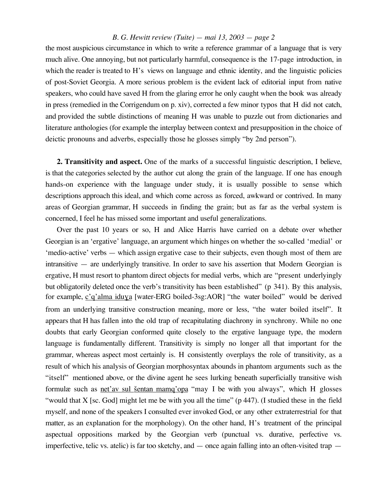## *B. G. Hewitt review (Tuite) — mai 13, 2003 — page 2*

the most auspicious circumstance in which to write a reference grammar of a language that is very much alive. One annoying, but not particularly harmful, consequence is the 17-page introduction, in which the reader is treated to H's views on language and ethnic identity, and the linguistic policies of post-Soviet Georgia. A more serious problem is the evident lack of editorial input from native speakers, who could have saved H from the glaring error he only caught when the book was already in press (remedied in the Corrigendum on p. xiv), corrected a few minor typos that H did not catch, and provided the subtle distinctions of meaning H was unable to puzzle out from dictionaries and literature anthologies (for example the interplay between context and presupposition in the choice of deictic pronouns and adverbs, especially those he glosses simply "by 2nd person").

**2. Transitivity and aspect.** One of the marks of a successful linguistic description, I believe, is that the categories selected by the author cut along the grain of the language. If one has enough hands-on experience with the language under study, it is usually possible to sense which descriptions approach this ideal, and which come across as forced, awkward or contrived. In many areas of Georgian grammar, H succeeds in finding the grain; but as far as the verbal system is concerned, I feel he has missed some important and useful generalizations.

Over the past 10 years or so, H and Alice Harris have carried on a debate over whether Georgian is an 'ergative' language, an argument which hinges on whether the so-called 'medial' or 'medio-active' verbs — which assign ergative case to their subjects, even though most of them are intransitive — are underlyingly transitive. In order to save his assertion that Modern Georgian is ergative, H must resort to phantom direct objects for medial verbs, which are "present underlyingly but obligatorily deleted once the verb's transitivity has been established" (p 341). By this analysis, for example,  $\frac{c'q'$ alma iduya [water-ERG boiled-3sg:AOR] "the water boiled" would be derived from an underlying transitive construction meaning, more or less, "the water boiled itself". It appears that H has fallen into the old trap of recapitulating diachrony in synchrony. While no one doubts that early Georgian conformed quite closely to the ergative language type, the modern language is fundamentally different. Transitivity is simply no longer all that important for the grammar, whereas aspect most certainly is. H consistently overplays the role of transitivity, as a result of which his analysis of Georgian morphosyntax abounds in phantom arguments such as the "itself" mentioned above, or the divine agent he sees lurking beneath superficially transitive wish formulæ such as net'av sul <u>šentan mamq'opa</u> "may I be with you always", which H glosses "would that X [sc. God] might let me be with you all the time" (p 447). (I studied these in the field myself, and none of the speakers I consulted ever invoked God, or any other extraterrestrial for that matter, as an explanation for the morphology). On the other hand, H's treatment of the principal aspectual oppositions marked by the Georgian verb (punctual vs. durative, perfective vs. imperfective, telic vs. atelic) is far too sketchy, and — once again falling into an often-visited trap —